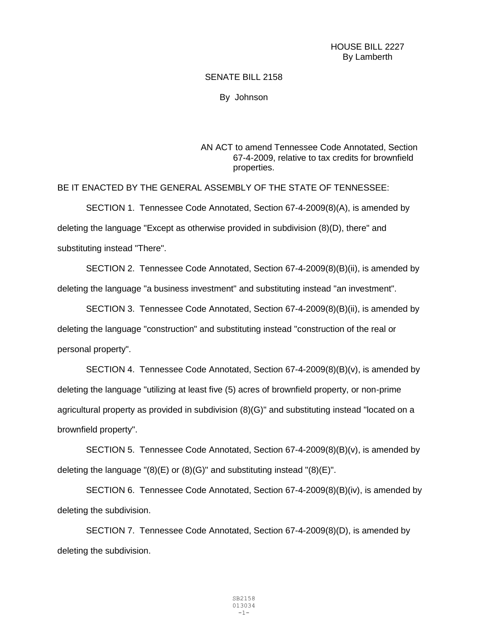## HOUSE BILL 2227 By Lamberth

## SENATE BILL 2158

By Johnson

AN ACT to amend Tennessee Code Annotated, Section 67-4-2009, relative to tax credits for brownfield properties.

BE IT ENACTED BY THE GENERAL ASSEMBLY OF THE STATE OF TENNESSEE:

SECTION 1. Tennessee Code Annotated, Section 67-4-2009(8)(A), is amended by deleting the language "Except as otherwise provided in subdivision (8)(D), there" and substituting instead "There".

SECTION 2. Tennessee Code Annotated, Section 67-4-2009(8)(B)(ii), is amended by deleting the language "a business investment" and substituting instead "an investment".

SECTION 3. Tennessee Code Annotated, Section 67-4-2009(8)(B)(ii), is amended by deleting the language "construction" and substituting instead "construction of the real or personal property".

SECTION 4. Tennessee Code Annotated, Section 67-4-2009(8)(B)(v), is amended by deleting the language "utilizing at least five (5) acres of brownfield property, or non-prime agricultural property as provided in subdivision (8)(G)" and substituting instead "located on a brownfield property".

SECTION 5. Tennessee Code Annotated, Section 67-4-2009(8)(B)(v), is amended by deleting the language  $\degree(8)$ (E) or (8)(G) $\degree$  and substituting instead  $\degree(8)$ (E) $\degree$ .

SECTION 6. Tennessee Code Annotated, Section 67-4-2009(8)(B)(iv), is amended by deleting the subdivision.

SECTION 7. Tennessee Code Annotated, Section 67-4-2009(8)(D), is amended by deleting the subdivision.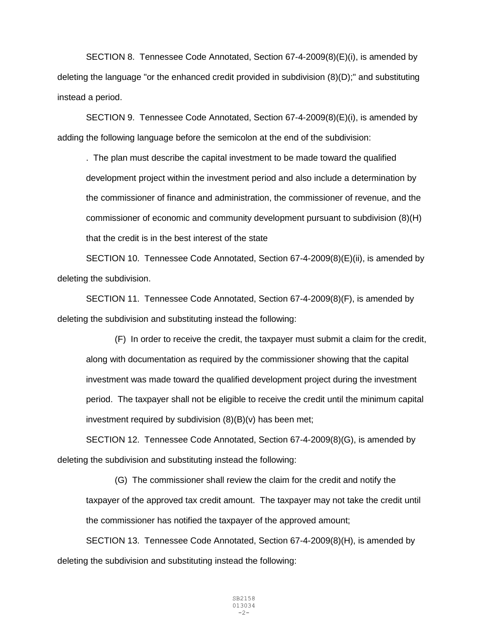SECTION 8. Tennessee Code Annotated, Section 67-4-2009(8)(E)(i), is amended by deleting the language "or the enhanced credit provided in subdivision (8)(D);" and substituting instead a period.

SECTION 9. Tennessee Code Annotated, Section 67-4-2009(8)(E)(i), is amended by adding the following language before the semicolon at the end of the subdivision:

. The plan must describe the capital investment to be made toward the qualified development project within the investment period and also include a determination by the commissioner of finance and administration, the commissioner of revenue, and the commissioner of economic and community development pursuant to subdivision (8)(H) that the credit is in the best interest of the state

SECTION 10. Tennessee Code Annotated, Section 67-4-2009(8)(E)(ii), is amended by deleting the subdivision.

SECTION 11. Tennessee Code Annotated, Section 67-4-2009(8)(F), is amended by deleting the subdivision and substituting instead the following:

(F) In order to receive the credit, the taxpayer must submit a claim for the credit, along with documentation as required by the commissioner showing that the capital investment was made toward the qualified development project during the investment period. The taxpayer shall not be eligible to receive the credit until the minimum capital investment required by subdivision  $(8)(B)(v)$  has been met;

SECTION 12. Tennessee Code Annotated, Section 67-4-2009(8)(G), is amended by deleting the subdivision and substituting instead the following:

(G) The commissioner shall review the claim for the credit and notify the taxpayer of the approved tax credit amount. The taxpayer may not take the credit until the commissioner has notified the taxpayer of the approved amount;

SECTION 13. Tennessee Code Annotated, Section 67-4-2009(8)(H), is amended by deleting the subdivision and substituting instead the following: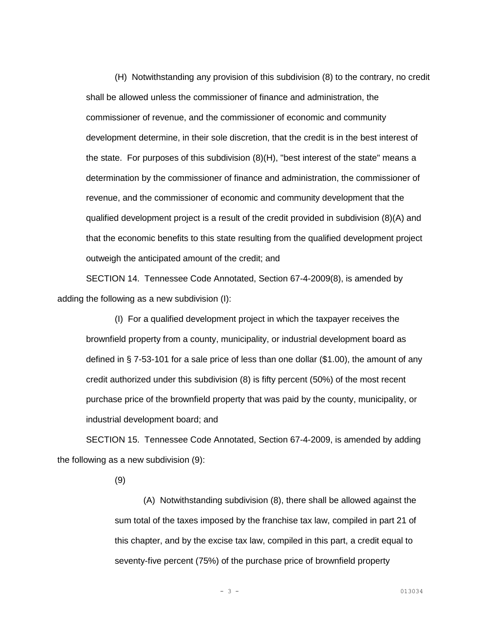(H) Notwithstanding any provision of this subdivision (8) to the contrary, no credit shall be allowed unless the commissioner of finance and administration, the commissioner of revenue, and the commissioner of economic and community development determine, in their sole discretion, that the credit is in the best interest of the state. For purposes of this subdivision (8)(H), "best interest of the state" means a determination by the commissioner of finance and administration, the commissioner of revenue, and the commissioner of economic and community development that the qualified development project is a result of the credit provided in subdivision (8)(A) and that the economic benefits to this state resulting from the qualified development project outweigh the anticipated amount of the credit; and

SECTION 14. Tennessee Code Annotated, Section 67-4-2009(8), is amended by adding the following as a new subdivision (I):

(I) For a qualified development project in which the taxpayer receives the brownfield property from a county, municipality, or industrial development board as defined in § 7-53-101 for a sale price of less than one dollar (\$1.00), the amount of any credit authorized under this subdivision (8) is fifty percent (50%) of the most recent purchase price of the brownfield property that was paid by the county, municipality, or industrial development board; and

SECTION 15. Tennessee Code Annotated, Section 67-4-2009, is amended by adding the following as a new subdivision (9):

(9)

(A) Notwithstanding subdivision (8), there shall be allowed against the sum total of the taxes imposed by the franchise tax law, compiled in part 21 of this chapter, and by the excise tax law, compiled in this part, a credit equal to seventy-five percent (75%) of the purchase price of brownfield property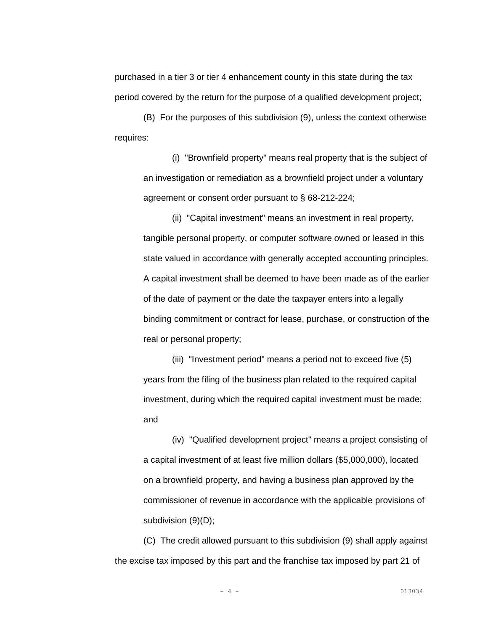purchased in a tier 3 or tier 4 enhancement county in this state during the tax period covered by the return for the purpose of a qualified development project;

(B) For the purposes of this subdivision (9), unless the context otherwise requires:

(i) "Brownfield property" means real property that is the subject of an investigation or remediation as a brownfield project under a voluntary agreement or consent order pursuant to § 68-212-224;

(ii) "Capital investment" means an investment in real property, tangible personal property, or computer software owned or leased in this state valued in accordance with generally accepted accounting principles. A capital investment shall be deemed to have been made as of the earlier of the date of payment or the date the taxpayer enters into a legally binding commitment or contract for lease, purchase, or construction of the real or personal property;

(iii) "Investment period" means a period not to exceed five (5) years from the filing of the business plan related to the required capital investment, during which the required capital investment must be made; and

(iv) "Qualified development project" means a project consisting of a capital investment of at least five million dollars (\$5,000,000), located on a brownfield property, and having a business plan approved by the commissioner of revenue in accordance with the applicable provisions of subdivision (9)(D);

(C) The credit allowed pursuant to this subdivision (9) shall apply against the excise tax imposed by this part and the franchise tax imposed by part 21 of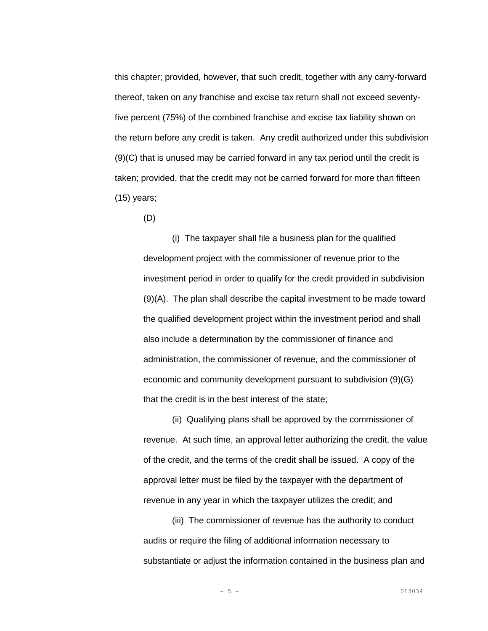this chapter; provided, however, that such credit, together with any carry-forward thereof, taken on any franchise and excise tax return shall not exceed seventyfive percent (75%) of the combined franchise and excise tax liability shown on the return before any credit is taken. Any credit authorized under this subdivision (9)(C) that is unused may be carried forward in any tax period until the credit is taken; provided, that the credit may not be carried forward for more than fifteen (15) years;

(D)

(i) The taxpayer shall file a business plan for the qualified development project with the commissioner of revenue prior to the investment period in order to qualify for the credit provided in subdivision (9)(A). The plan shall describe the capital investment to be made toward the qualified development project within the investment period and shall also include a determination by the commissioner of finance and administration, the commissioner of revenue, and the commissioner of economic and community development pursuant to subdivision (9)(G) that the credit is in the best interest of the state;

(ii) Qualifying plans shall be approved by the commissioner of revenue. At such time, an approval letter authorizing the credit, the value of the credit, and the terms of the credit shall be issued. A copy of the approval letter must be filed by the taxpayer with the department of revenue in any year in which the taxpayer utilizes the credit; and

(iii) The commissioner of revenue has the authority to conduct audits or require the filing of additional information necessary to substantiate or adjust the information contained in the business plan and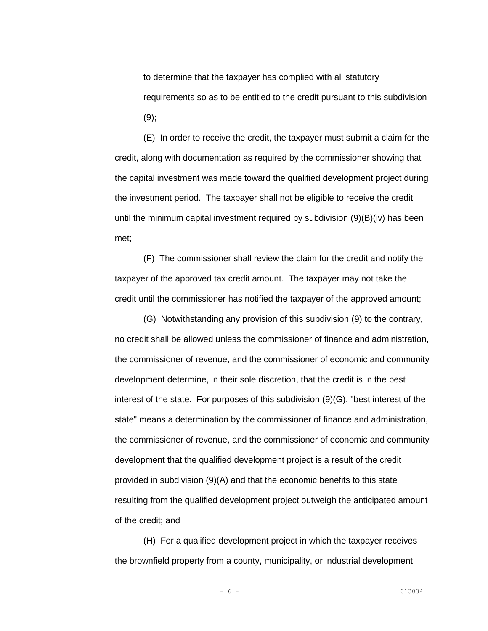to determine that the taxpayer has complied with all statutory requirements so as to be entitled to the credit pursuant to this subdivision  $(9)$ ;

(E) In order to receive the credit, the taxpayer must submit a claim for the credit, along with documentation as required by the commissioner showing that the capital investment was made toward the qualified development project during the investment period. The taxpayer shall not be eligible to receive the credit until the minimum capital investment required by subdivision (9)(B)(iv) has been met;

(F) The commissioner shall review the claim for the credit and notify the taxpayer of the approved tax credit amount. The taxpayer may not take the credit until the commissioner has notified the taxpayer of the approved amount;

(G) Notwithstanding any provision of this subdivision (9) to the contrary, no credit shall be allowed unless the commissioner of finance and administration, the commissioner of revenue, and the commissioner of economic and community development determine, in their sole discretion, that the credit is in the best interest of the state. For purposes of this subdivision (9)(G), "best interest of the state" means a determination by the commissioner of finance and administration, the commissioner of revenue, and the commissioner of economic and community development that the qualified development project is a result of the credit provided in subdivision (9)(A) and that the economic benefits to this state resulting from the qualified development project outweigh the anticipated amount of the credit; and

(H) For a qualified development project in which the taxpayer receives the brownfield property from a county, municipality, or industrial development